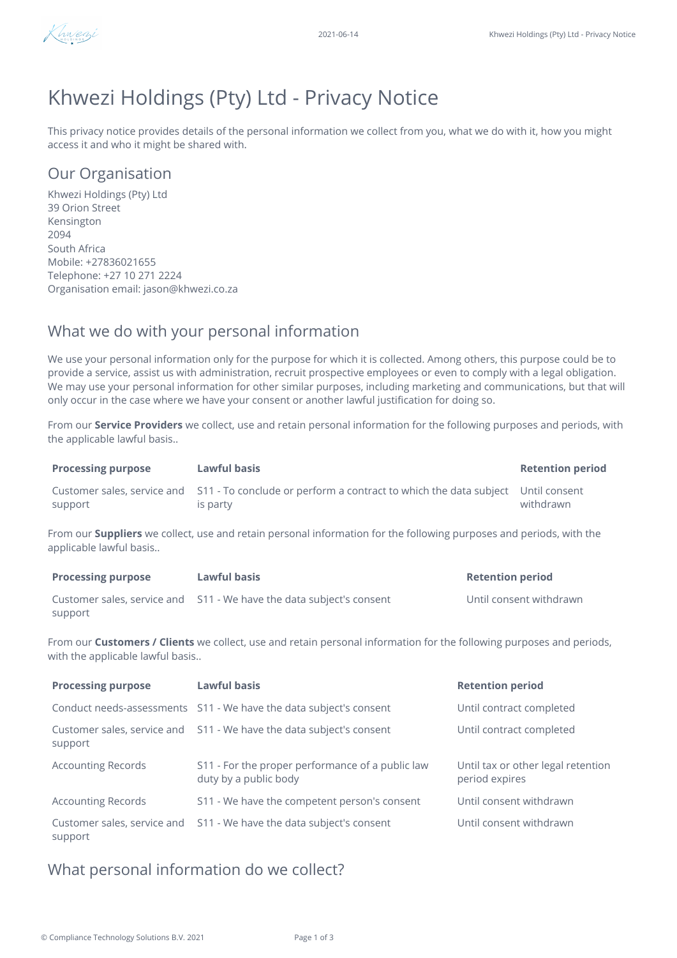

# Khwezi Holdings (Pty) Ltd - Privacy Notice

This privacy notice provides details of the personal information we collect from you, what we do with it, how you might access it and who it might be shared with.

# Our Organisation

Khwezi Holdings (Pty) Ltd 39 Orion Street Kensington 2094 South Africa Mobile: +27836021655 Telephone: +27 10 271 2224 Organisation email: jason@khwezi.co.za

# What we do with your personal information

We use your personal information only for the purpose for which it is collected. Among others, this purpose could be to provide a service, assist us with administration, recruit prospective employees or even to comply with a legal obligation. We may use your personal information for other similar purposes, including marketing and communications, but that will only occur in the case where we have your consent or another lawful justification for doing so.

From our **Service Providers** we collect, use and retain personal information for the following purposes and periods, with the applicable lawful basis..

| <b>Processing purpose</b> | Lawful basis                                                                                                            | <b>Retention period</b> |
|---------------------------|-------------------------------------------------------------------------------------------------------------------------|-------------------------|
| support                   | Customer sales, service and S11 - To conclude or perform a contract to which the data subject Until consent<br>is party | withdrawn               |

From our **Suppliers** we collect, use and retain personal information for the following purposes and periods, with the applicable lawful basis..

| <b>Processing purpose</b> | Lawful basis                                                         | <b>Retention period</b> |
|---------------------------|----------------------------------------------------------------------|-------------------------|
|                           | Customer sales, service and S11 - We have the data subject's consent | Until consent withdrawn |
| support                   |                                                                      |                         |

From our **Customers / Clients** we collect, use and retain personal information for the following purposes and periods, with the applicable lawful basis..

| <b>Processing purpose</b> | Lawful basis                                                              | <b>Retention period</b>                              |
|---------------------------|---------------------------------------------------------------------------|------------------------------------------------------|
|                           | Conduct needs-assessments S11 - We have the data subject's consent        | Until contract completed                             |
| support                   | Customer sales, service and S11 - We have the data subject's consent      | Until contract completed                             |
| <b>Accounting Records</b> | S11 - For the proper performance of a public law<br>duty by a public body | Until tax or other legal retention<br>period expires |
| <b>Accounting Records</b> | S11 - We have the competent person's consent                              | Until consent withdrawn                              |
| support                   | Customer sales, service and S11 - We have the data subject's consent      | Until consent withdrawn                              |

## What personal information do we collect?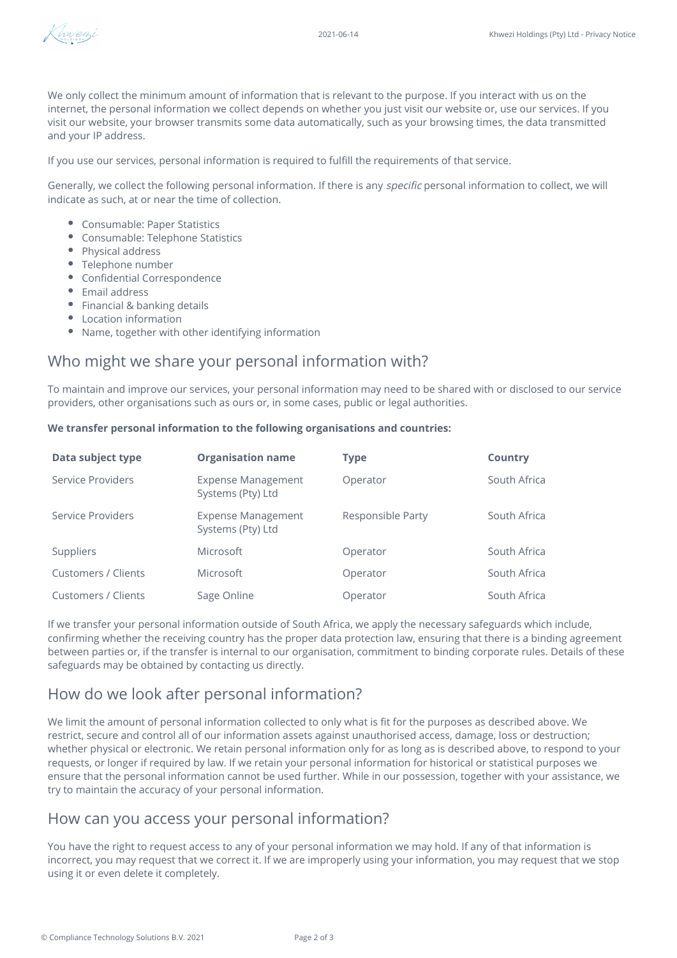

We only collect the minimum amount of information that is relevant to the purpose. If you interact with us on the internet, the personal information we collect depends on whether you just visit our website or, use our services. If you visit our website, your browser transmits some data automatically, such as your browsing times, the data transmitted and your IP address.

If you use our services, personal information is required to fulfill the requirements of that service.

Generally, we collect the following personal information. If there is any specific personal information to collect, we will indicate as such, at or near the time of collection.

- Consumable: Paper Statistics
- Consumable: Telephone Statistics
- Physical address
- Telephone number
- Confidential Correspondence
- Email address
- Financial & banking details
- Location information
- Name, together with other identifying information

# Who might we share your personal information with?

To maintain and improve our services, your personal information may need to be shared with or disclosed to our service providers, other organisations such as ours or, in some cases, public or legal authorities.

#### **We transfer personal information to the following organisations and countries:**

| Data subject type   | <b>Organisation name</b>                       | <b>Type</b>       | <b>Country</b> |
|---------------------|------------------------------------------------|-------------------|----------------|
| Service Providers   | <b>Expense Management</b><br>Systems (Pty) Ltd | Operator          | South Africa   |
| Service Providers   | <b>Expense Management</b><br>Systems (Pty) Ltd | Responsible Party | South Africa   |
| Suppliers           | Microsoft                                      | Operator          | South Africa   |
| Customers / Clients | Microsoft                                      | Operator          | South Africa   |
| Customers / Clients | Sage Online                                    | Operator          | South Africa   |

If we transfer your personal information outside of South Africa, we apply the necessary safeguards which include, confirming whether the receiving country has the proper data protection law, ensuring that there is a binding agreement between parties or, if the transfer is internal to our organisation, commitment to binding corporate rules. Details of these safeguards may be obtained by contacting us directly.

### How do we look after personal information?

We limit the amount of personal information collected to only what is fit for the purposes as described above. We restrict, secure and control all of our information assets against unauthorised access, damage, loss or destruction; whether physical or electronic. We retain personal information only for as long as is described above, to respond to your requests, or longer if required by law. If we retain your personal information for historical or statistical purposes we ensure that the personal information cannot be used further. While in our possession, together with your assistance, we try to maintain the accuracy of your personal information.

#### How can you access your personal information?

You have the right to request access to any of your personal information we may hold. If any of that information is incorrect, you may request that we correct it. If we are improperly using your information, you may request that we stop using it or even delete it completely.